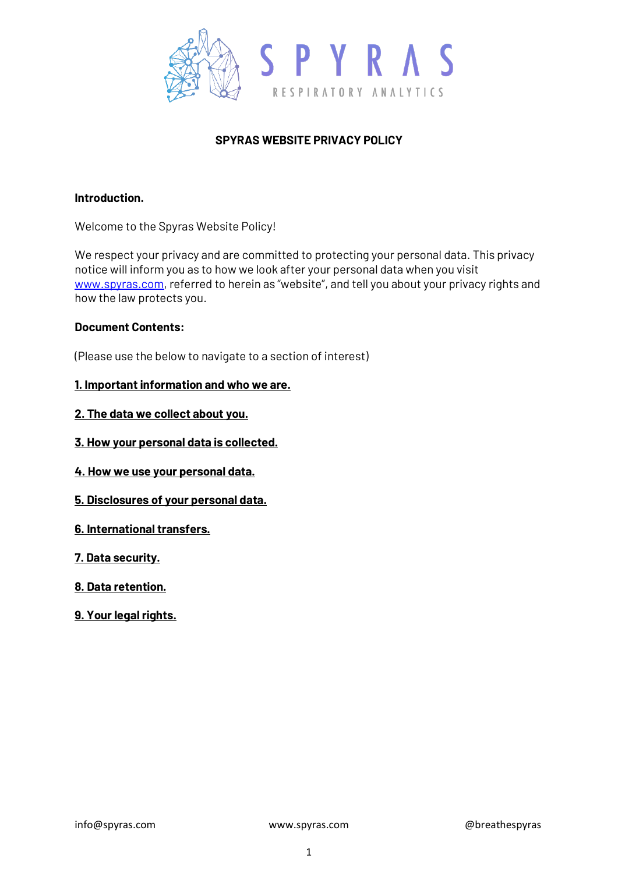

# **SPYRAS WEBSITE PRIVACY POLICY**

### **Introduction.**

Welcome to the Spyras Website Policy!

We respect your privacy and are committed to protecting your personal data. This privacy notice will inform you as to how we look after your personal data when you visit [www.spyras.com,](http://www.spyras.com/) referred to herein as "website", and tell you about your privacy rights and how the law protects you.

### **Document Contents:**

(Please use the below to navigate to a section of interest)

### **1. Important information and who we are.**

- **2. The data we collect about you.**
- **3. How your personal data is collected.**
- **4. How we use your personal data.**
- **5. Disclosures of your personal data.**
- **6. International transfers.**
- **7. Data security.**
- **8. Data retention.**
- **9. Your legal rights.**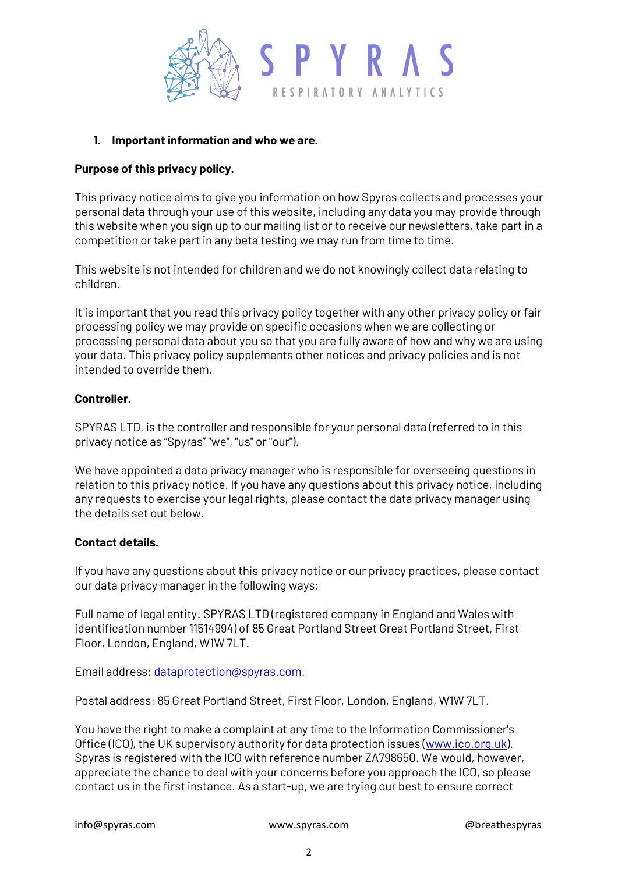

### **1. Important information and who we are.**

### **Purpose of this privacy policy.**

This privacy notice aims to give you information on how Spyras collects and processes your personal data through your use of this website, including any data you may provide through this website when you sign up to our mailing list or to receive our newsletters, take part in a competition or take part in any beta testing we may run from time to time.

This website is not intended for children and we do not knowingly collect data relating to children.

It is important that you read this privacy policy together with any other privacy policy or fair processing policy we may provide on specific occasions when we are collecting or processing personal data about you so that you are fully aware of how and why we are using your data. This privacy policy supplements other notices and privacy policies and is not intended to override them.

### **Controller.**

SPYRAS LTD, is the controller and responsible for your personal data (referred to in this privacy notice as "Spyras" "we", "us" or "our").

We have appointed a data privacy manager who is responsible for overseeing questions in relation to this privacy notice. If you have any questions about this privacy notice, including any requests to exercise your legal rights, please contact the data privacy manager using the details set out below.

## **Contact details.**

If you have any questions about this privacy notice or our privacy practices, please contact our data privacy manager in the following ways:

Full name of legal entity: SPYRAS LTD (registered company in England and Wales with identification number 11514994) of 85 Great Portland Street Great Portland Street, First Floor, London, England, W1W 7LT.

Email address[: dataprotection@spyras.com.](mailto:dataprotection@spyras.com)

Postal address: 85 Great Portland Street, First Floor, London, England, W1W 7LT.

You have the right to make a complaint at any time to the Information Commissioner's Office (ICO), the UK supervisory authority for data protection issues [\(www.ico.org.uk\)](http://www.ico.org.uk/). Spyras is registered with the ICO with reference number ZA798650. We would, however, appreciate the chance to deal with your concerns before you approach the ICO, so please contact us in the first instance. As a start-up, we are trying our best to ensure correct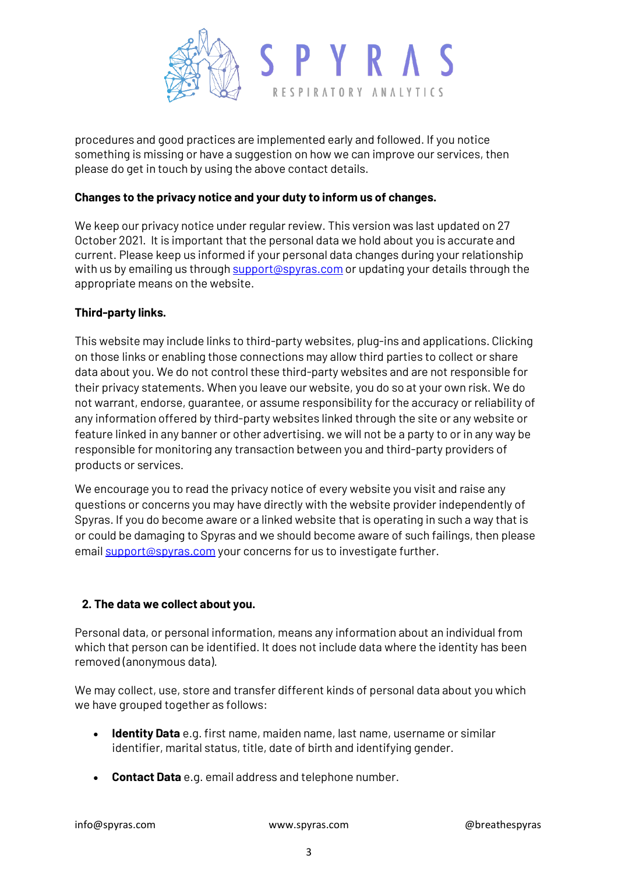

procedures and good practices are implemented early and followed. If you notice something is missing or have a suggestion on how we can improve our services, then please do get in touch by using the above contact details.

## **Changes to the privacy notice and your duty to inform us of changes.**

We keep our privacy notice under regular review. This version was last updated on 27 October 2021. It is important that the personal data we hold about you is accurate and current. Please keep us informed if your personal data changes during your relationship with us by emailing us throug[h support@spyras.com](mailto:support@spyras.com) or updating your details through the appropriate means on the website.

### **Third-party links.**

This website may include links to third-party websites, plug-ins and applications. Clicking on those links or enabling those connections may allow third parties to collect or share data about you. We do not control these third-party websites and are not responsible for their privacy statements. When you leave our website, you do so at your own risk. We do not warrant, endorse, guarantee, or assume responsibility for the accuracy or reliability of any information offered by third-party websites linked through the site or any website or feature linked in any banner or other advertising. we will not be a party to or in any way be responsible for monitoring any transaction between you and third-party providers of products or services.

We encourage you to read the privacy notice of every website you visit and raise any questions or concerns you may have directly with the website provider independently of Spyras. If you do become aware or a linked website that is operating in such a way that is or could be damaging to Spyras and we should become aware of such failings, then please email **support@spyras.com** your concerns for us to investigate further.

## **2. The data we collect about you.**

Personal data, or personal information, means any information about an individual from which that person can be identified. It does not include data where the identity has been removed (anonymous data).

We may collect, use, store and transfer different kinds of personal data about you which we have grouped together as follows:

- **Identity Data** e.g. first name, maiden name, last name, username or similar identifier, marital status, title, date of birth and identifying gender.
- **Contact Data** e.g. email address and telephone number.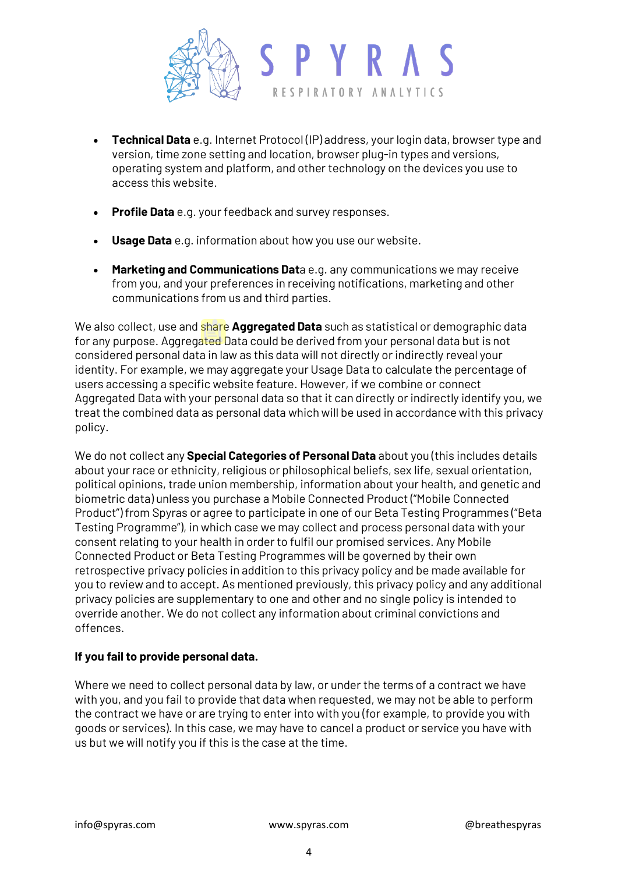

- **Technical Data** e.g. Internet Protocol (IP) address, your login data, browser type and version, time zone setting and location, browser plug-in types and versions, operating system and platform, and other technology on the devices you use to access this website.
- **Profile Data** e.g. your feedback and survey responses.
- **Usage Data** e.g. information about how you use our website.
- **Marketing and Communications Dat**a e.g. any communications we may receive from you, and your preferences in receiving notifications, marketing and other communications from us and third parties.

We also collect, use and share **Aggregated Data** such as statistical or demographic data for any purpose. Aggregated Data could be derived from your personal data but is not considered personal data in law as this data will not directly or indirectly reveal your identity. For example, we may aggregate your Usage Data to calculate the percentage of users accessing a specific website feature. However, if we combine or connect Aggregated Data with your personal data so that it can directly or indirectly identify you, we treat the combined data as personal data which will be used in accordance with this privacy policy.

We do not collect any **Special Categories of Personal Data** about you (this includes details about your race or ethnicity, religious or philosophical beliefs, sex life, sexual orientation, political opinions, trade union membership, information about your health, and genetic and biometric data) unless you purchase a Mobile Connected Product ("Mobile Connected Product") from Spyras or agree to participate in one of our Beta Testing Programmes ("Beta Testing Programme"), in which case we may collect and process personal data with your consent relating to your health in order to fulfil our promised services. Any Mobile Connected Product or Beta Testing Programmes will be governed by their own retrospective privacy policies in addition to this privacy policy and be made available for you to review and to accept. As mentioned previously, this privacy policy and any additional privacy policies are supplementary to one and other and no single policy is intended to override another. We do not collect any information about criminal convictions and offences.

## **If you fail to provide personal data.**

Where we need to collect personal data by law, or under the terms of a contract we have with you, and you fail to provide that data when requested, we may not be able to perform the contract we have or are trying to enter into with you (for example, to provide you with goods or services). In this case, we may have to cancel a product or service you have with us but we will notify you if this is the case at the time.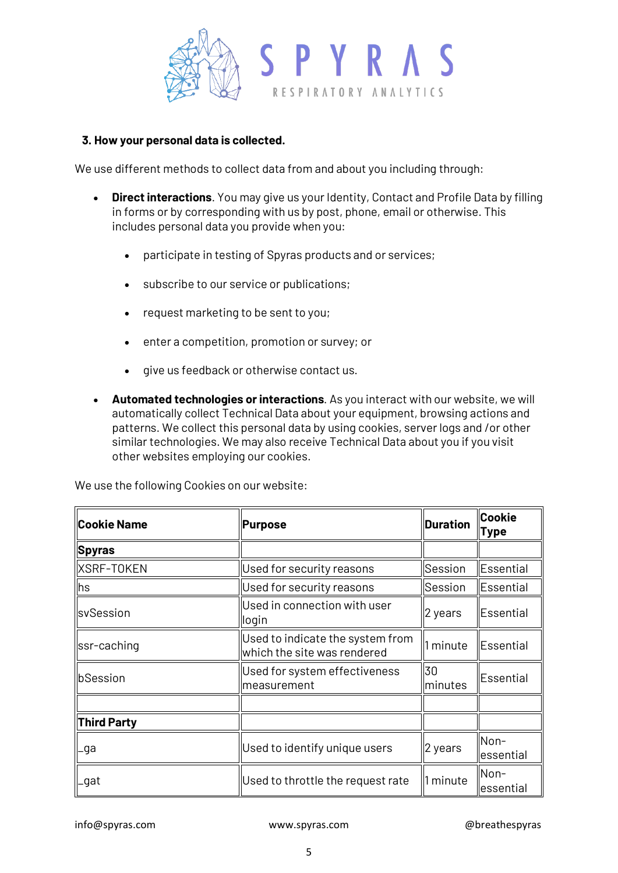

### **3. How your personal data is collected.**

We use different methods to collect data from and about you including through:

- **Direct interactions**. You may give us your Identity, Contact and Profile Data by filling in forms or by corresponding with us by post, phone, email or otherwise. This includes personal data you provide when you:
	- participate in testing of Spyras products and or services;
	- subscribe to our service or publications;
	- request marketing to be sent to you;
	- enter a competition, promotion or survey; or
	- give us feedback or otherwise contact us.
- **Automated technologies or interactions**. As you interact with our website, we will automatically collect Technical Data about your equipment, browsing actions and patterns. We collect this personal data by using cookies, server logs and /or other similar technologies. We may also receive Technical Data about you if you visit other websites employing our cookies.

We use the following Cookies on our website:

| <b>Cookie Name</b> | Purpose                                                         | <b>Duration</b> | <b>Cookie</b><br><b>Type</b> |
|--------------------|-----------------------------------------------------------------|-----------------|------------------------------|
| Spyras             |                                                                 |                 |                              |
| XSRF-TOKEN         | Used for security reasons                                       | Session         | Essential                    |
| hs                 | Used for security reasons                                       | Session         | Essential                    |
| svSession          | Used in connection with user<br>login                           | 2 years         | <b>Essential</b>             |
| ssr-caching        | Used to indicate the system from<br>which the site was rendered | 1 minute        | Essential                    |
| bSession           | Used for system effectiveness<br>measurement                    | 30<br>minutes   | <b>Essential</b>             |
|                    |                                                                 |                 |                              |
| <b>Third Party</b> |                                                                 |                 |                              |
| _ga                | Used to identify unique users                                   | 2 years         | Non-<br>essential            |
| _gat               | Used to throttle the request rate                               | 1 minute        | Non-<br>essential            |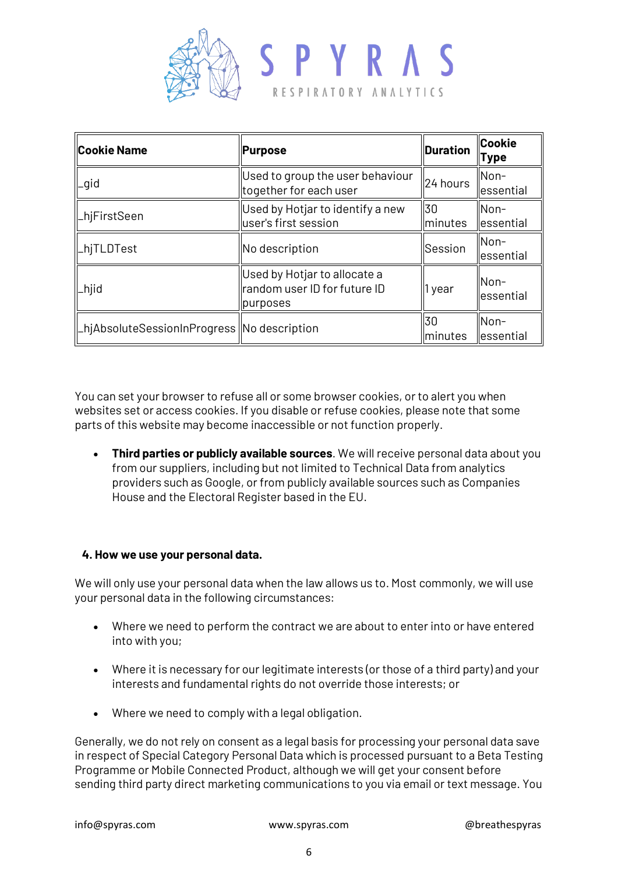

| <b>Cookie Name</b>                            | Purpose                                                                  | <b>Duration</b>       | <b>Cookie</b><br><b>Type</b> |
|-----------------------------------------------|--------------------------------------------------------------------------|-----------------------|------------------------------|
| _gid                                          | Used to group the user behaviour<br>together for each user               | 24 hours              | llNon−<br>lessential         |
| _hjFirstSeen                                  | Used by Hotjar to identify a new<br>user's first session                 | 30<br>minutes         | Non-<br>lessential           |
| _hjTLDTest                                    | No description                                                           | Session               | Non-<br>lessential           |
| _hjid                                         | Used by Hotjar to allocate a<br>random user ID for future ID<br>purposes | 1 year                | llNon−<br>lessential         |
| _hjAbsoluteSessionInProgress   No description |                                                                          | 30<br><i>Iminutes</i> | Non-<br>llessential          |

You can set your browser to refuse all or some browser cookies, or to alert you when websites set or access cookies. If you disable or refuse cookies, please note that some parts of this website may become inaccessible or not function properly.

• **Third parties or publicly available sources**. We will receive personal data about you from our suppliers, including but not limited to Technical Data from analytics providers such as Google, or from publicly available sources such as Companies House and the Electoral Register based in the EU.

## **4. How we use your personal data.**

We will only use your personal data when the law allows us to. Most commonly, we will use your personal data in the following circumstances:

- Where we need to perform the contract we are about to enter into or have entered into with you;
- Where it is necessary for our legitimate interests (or those of a third party) and your interests and fundamental rights do not override those interests; or
- Where we need to comply with a legal obligation.

Generally, we do not rely on consent as a legal basis for processing your personal data save in respect of Special Category Personal Data which is processed pursuant to a Beta Testing Programme or Mobile Connected Product, although we will get your consent before sending third party direct marketing communications to you via email or text message. You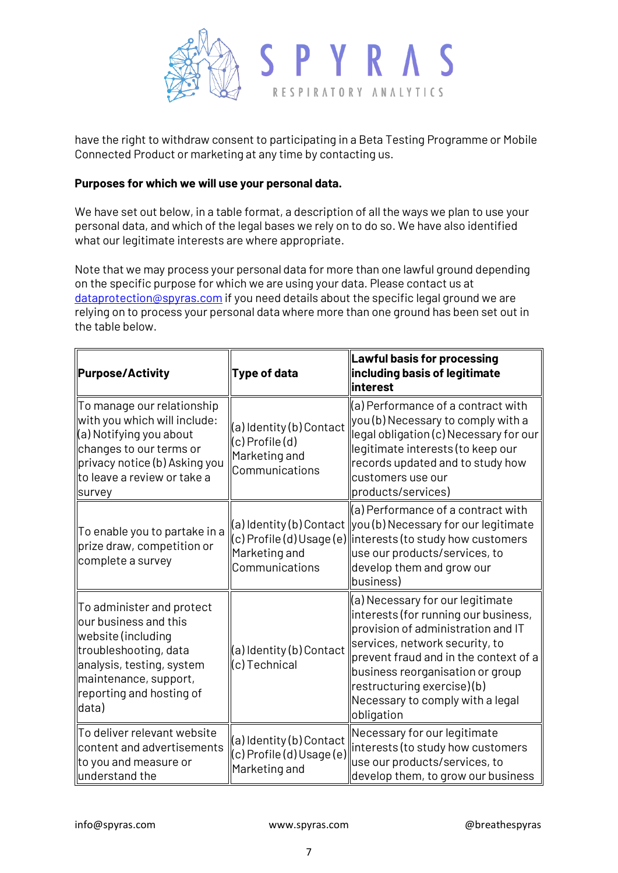

have the right to withdraw consent to participating in a Beta Testing Programme or Mobile Connected Product or marketing at any time by contacting us.

### **Purposes for which we will use your personal data.**

We have set out below, in a table format, a description of all the ways we plan to use your personal data, and which of the legal bases we rely on to do so. We have also identified what our legitimate interests are where appropriate.

Note that we may process your personal data for more than one lawful ground depending on the specific purpose for which we are using your data. Please contact us at [dataprotection@spyras.com](mailto:dataprotection@spyras.com) if you need details about the specific legal ground we are relying on to process your personal data where more than one ground has been set out in the table below.

| Purpose/Activity                                                                                                                                                                             | <b>Type of data</b>                                                                | Lawful basis for processing<br>including basis of legitimate<br>llinterest                                                                                                                                                                                                                                                |
|----------------------------------------------------------------------------------------------------------------------------------------------------------------------------------------------|------------------------------------------------------------------------------------|---------------------------------------------------------------------------------------------------------------------------------------------------------------------------------------------------------------------------------------------------------------------------------------------------------------------------|
| To manage our relationship<br>with you which will include:<br>(a) Notifying you about<br>changes to our terms or<br>privacy notice (b) Asking you<br>to leave a review or take a<br>survey   | (a) Identity (b) Contact<br>$(c)$ Profile $(d)$<br>Marketing and<br>Communications | $\parallel$ (a) Performance of a contract with<br>$\left\vert$ you (b) Necessary to comply with a<br>legal obligation (c) Necessary for our<br>legitimate interests (to keep our<br>records updated and to study how<br>customers use our<br>products/services)                                                           |
| ∥To enable you to partake in a<br>prize draw, competition or<br>complete a survey                                                                                                            | Marketing and<br>Communications                                                    | $\parallel$ (a) Performance of a contract with<br>$(a)$ Identity (b) Contact $\parallel$ you (b) Necessary for our legitimate<br>$(c)$ Profile (d) Usage (e) interests (to study how customers<br>use our products/services, to<br>develop them and grow our<br>business)                                                 |
| To administer and protect<br>our business and this<br>website (including<br>troubleshooting, data<br>analysis, testing, system<br>maintenance, support,<br>reporting and hosting of<br>data) | (a) Identity (b) Contact<br>(c) Technical                                          | $\parallel$ (a) Necessary for our legitimate<br>interests (for running our business,<br>provision of administration and IT<br>services, network security, to<br>prevent fraud and in the context of a<br>business reorganisation or group<br>restructuring exercise)(b)<br>Necessary to comply with a legal<br>obligation |
| To deliver relevant website<br>content and advertisements<br>to you and measure or<br>$\parallel$ understand the                                                                             | (a) Identity (b) Contact<br>$(c)$ Profile $(d)$ Usage $(e)$<br>Marketing and       | Necessary for our legitimate<br>interests (to study how customers<br>use our products/services, to<br>develop them, to grow our business                                                                                                                                                                                  |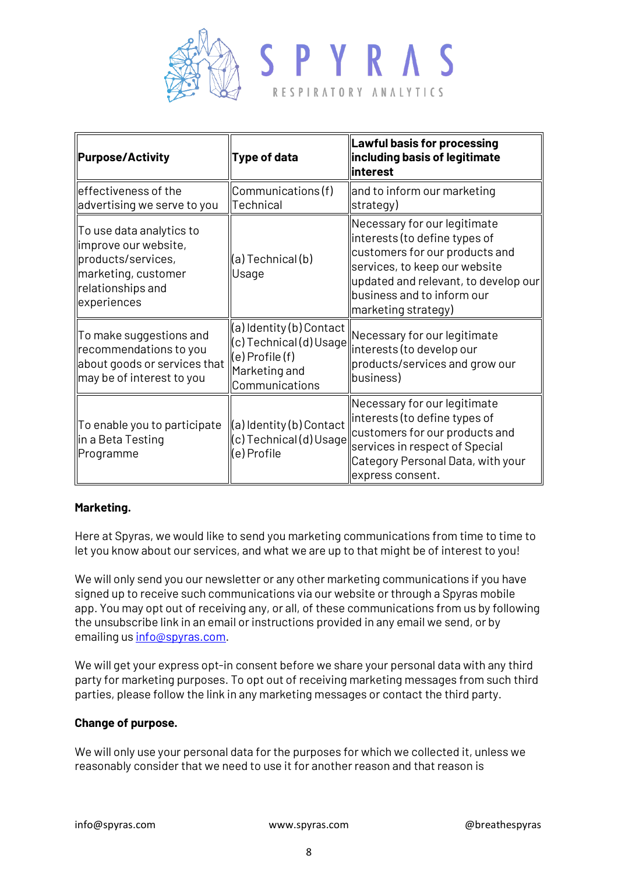

| <b>Purpose/Activity</b>                                                                                                           | <b>Type of data</b>                                                               | Lawful basis for processing<br>including basis of legitimate<br>linterest                                                                                                                                                     |  |
|-----------------------------------------------------------------------------------------------------------------------------------|-----------------------------------------------------------------------------------|-------------------------------------------------------------------------------------------------------------------------------------------------------------------------------------------------------------------------------|--|
| effectiveness of the<br>advertising we serve to you                                                                               | Communications(f)<br>Technical                                                    | and to inform our marketing<br>strategy)                                                                                                                                                                                      |  |
| To use data analytics to<br>improve our website,<br>products/services,<br>marketing, customer<br>relationships and<br>experiences | (a) Technical (b)<br>Usage                                                        | Necessary for our legitimate<br>interests (to define types of<br>customers for our products and<br>services, to keep our website<br>updated and relevant, to develop our<br>business and to inform our<br>marketing strategy) |  |
| To make suggestions and<br>recommendations to you<br>about goods or services that<br>may be of interest to you                    | (c) Technical (d) Usage<br>$(e)$ Profile $(f)$<br>Marketing and<br>Communications | $\sqrt{\frac{a}{b}}$ dentity (b) Contact $\parallel$ Necessary for our legitimate<br>interests (to develop our<br>products/services and grow our<br>business)                                                                 |  |
| To enable you to participate<br>in a Beta Testing<br>Programme                                                                    | $\ $ (a) Identity (b) Contact<br>(c) Technical (d) Usage<br>e) Profile            | Necessary for our legitimate<br>interests (to define types of<br>customers for our products and<br>services in respect of Special<br>Category Personal Data, with your<br>express consent.                                    |  |

## **Marketing.**

Here at Spyras, we would like to send you marketing communications from time to time to let you know about our services, and what we are up to that might be of interest to you!

We will only send you our newsletter or any other marketing communications if you have signed up to receive such communications via our website or through a Spyras mobile app. You may opt out of receiving any, or all, of these communications from us by following the unsubscribe link in an email or instructions provided in any email we send, or by emailing u[s info@spyras.com.](mailto:info@spyras.com)

We will get your express opt-in consent before we share your personal data with any third party for marketing purposes. To opt out of receiving marketing messages from such third parties, please follow the link in any marketing messages or contact the third party.

#### **Change of purpose.**

We will only use your personal data for the purposes for which we collected it, unless we reasonably consider that we need to use it for another reason and that reason is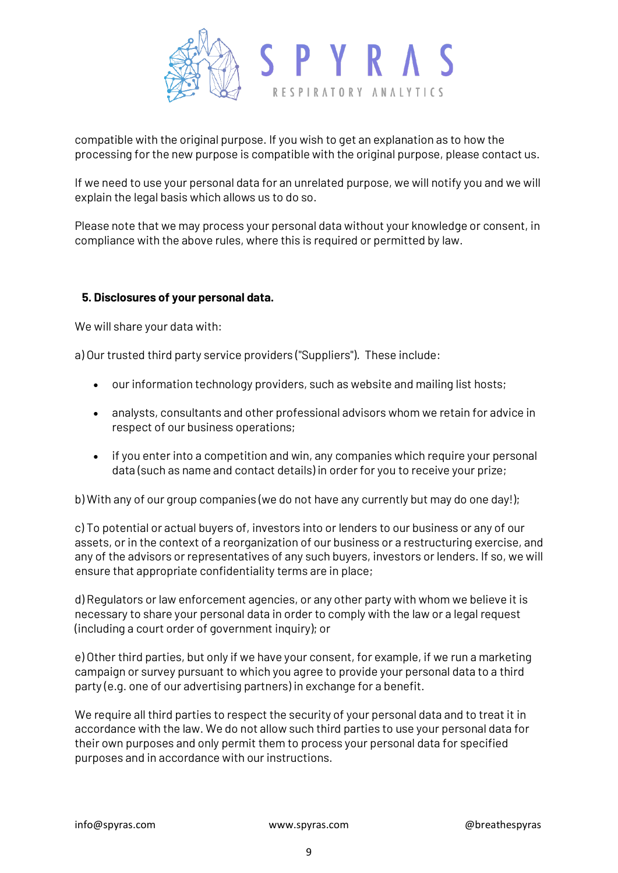

compatible with the original purpose. If you wish to get an explanation as to how the processing for the new purpose is compatible with the original purpose, please contact us.

If we need to use your personal data for an unrelated purpose, we will notify you and we will explain the legal basis which allows us to do so.

Please note that we may process your personal data without your knowledge or consent, in compliance with the above rules, where this is required or permitted by law.

### **5. Disclosures of your personal data.**

We will share your data with:

a) Our trusted third party service providers ("Suppliers"). These include:

- our information technology providers, such as website and mailing list hosts;
- analysts, consultants and other professional advisors whom we retain for advice in respect of our business operations;
- if you enter into a competition and win, any companies which require your personal data (such as name and contact details) in order for you to receive your prize;

b) With any of our group companies (we do not have any currently but may do one day!);

c) To potential or actual buyers of, investors into or lenders to our business or any of our assets, or in the context of a reorganization of our business or a restructuring exercise, and any of the advisors or representatives of any such buyers, investors or lenders. If so, we will ensure that appropriate confidentiality terms are in place;

d) Regulators or law enforcement agencies, or any other party with whom we believe it is necessary to share your personal data in order to comply with the law or a legal request (including a court order of government inquiry); or

e) Other third parties, but only if we have your consent, for example, if we run a marketing campaign or survey pursuant to which you agree to provide your personal data to a third party (e.g. one of our advertising partners) in exchange for a benefit.

We require all third parties to respect the security of your personal data and to treat it in accordance with the law. We do not allow such third parties to use your personal data for their own purposes and only permit them to process your personal data for specified purposes and in accordance with our instructions.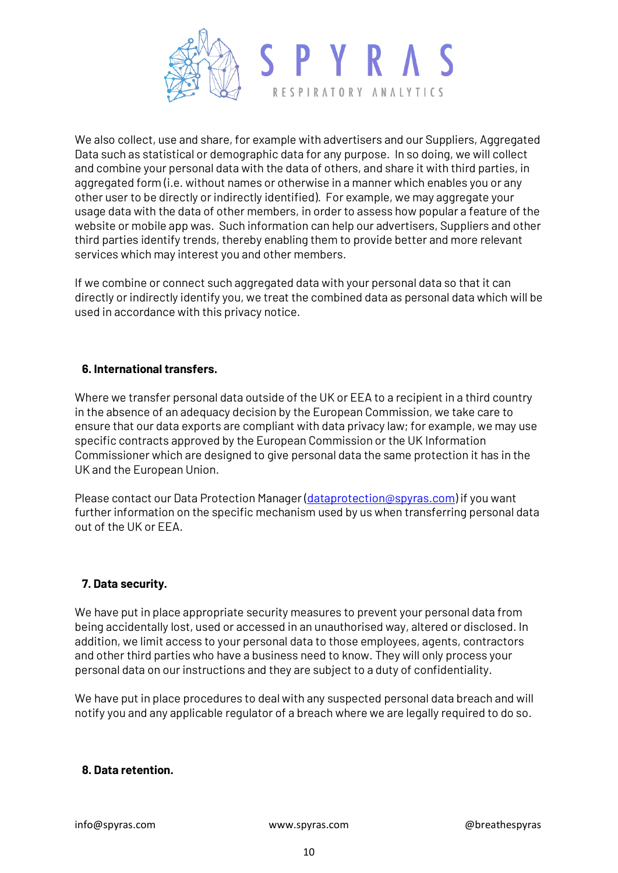

We also collect, use and share, for example with advertisers and our Suppliers, Aggregated Data such as statistical or demographic data for any purpose. In so doing, we will collect and combine your personal data with the data of others, and share it with third parties, in aggregated form (i.e. without names or otherwise in a manner which enables you or any other user to be directly or indirectly identified). For example, we may aggregate your usage data with the data of other members, in order to assess how popular a feature of the website or mobile app was. Such information can help our advertisers, Suppliers and other third parties identify trends, thereby enabling them to provide better and more relevant services which may interest you and other members.

If we combine or connect such aggregated data with your personal data so that it can directly or indirectly identify you, we treat the combined data as personal data which will be used in accordance with this privacy notice.

## **6. International transfers.**

Where we transfer personal data outside of the UK or EEA to a recipient in a third country in the absence of an adequacy decision by the European Commission, we take care to ensure that our data exports are compliant with data privacy law; for example, we may use specific contracts approved by the European Commission or the UK Information Commissioner which are designed to give personal data the same protection it has in the UK and the European Union.

Please contact our Data Protection Manager [\(dataprotection@spyras.com\)](mailto:dataprotection@spyras.com) if you want further information on the specific mechanism used by us when transferring personal data out of the UK or EEA.

## **7. Data security.**

We have put in place appropriate security measures to prevent your personal data from being accidentally lost, used or accessed in an unauthorised way, altered or disclosed. In addition, we limit access to your personal data to those employees, agents, contractors and other third parties who have a business need to know. They will only process your personal data on our instructions and they are subject to a duty of confidentiality.

We have put in place procedures to deal with any suspected personal data breach and will notify you and any applicable regulator of a breach where we are legally required to do so.

#### **8. Data retention.**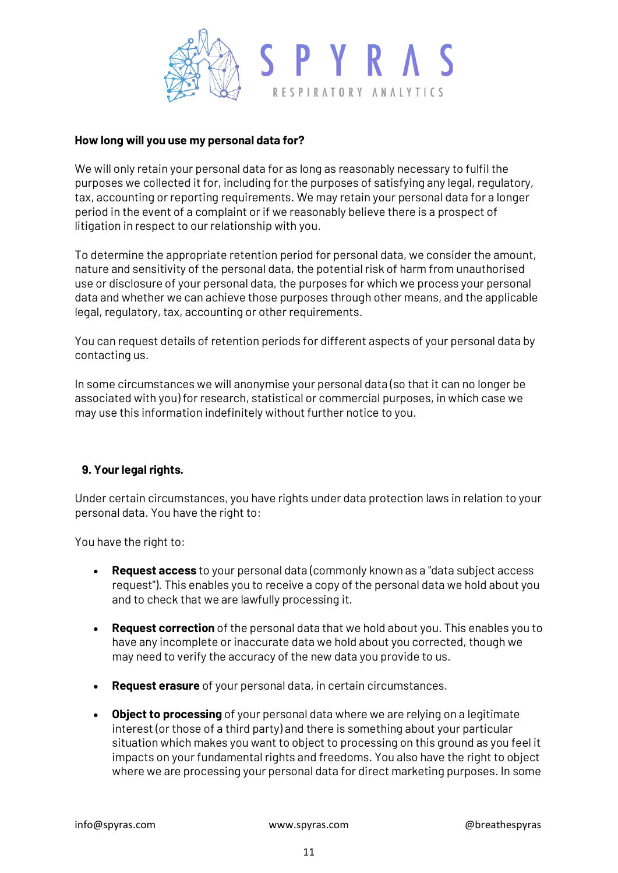

### **How long will you use my personal data for?**

We will only retain your personal data for as long as reasonably necessary to fulfil the purposes we collected it for, including for the purposes of satisfying any legal, regulatory, tax, accounting or reporting requirements. We may retain your personal data for a longer period in the event of a complaint or if we reasonably believe there is a prospect of litigation in respect to our relationship with you.

To determine the appropriate retention period for personal data, we consider the amount, nature and sensitivity of the personal data, the potential risk of harm from unauthorised use or disclosure of your personal data, the purposes for which we process your personal data and whether we can achieve those purposes through other means, and the applicable legal, regulatory, tax, accounting or other requirements.

You can request details of retention periods for different aspects of your personal data by contacting us.

In some circumstances we will anonymise your personal data (so that it can no longer be associated with you) for research, statistical or commercial purposes, in which case we may use this information indefinitely without further notice to you.

## **9. Your legal rights.**

Under certain circumstances, you have rights under data protection laws in relation to your personal data. You have the right to:

You have the right to:

- **Request access** to your personal data (commonly known as a "data subject access request"). This enables you to receive a copy of the personal data we hold about you and to check that we are lawfully processing it.
- **Request correction** of the personal data that we hold about you. This enables you to have any incomplete or inaccurate data we hold about you corrected, though we may need to verify the accuracy of the new data you provide to us.
- **Request erasure** of your personal data, in certain circumstances.
- **Object to processing** of your personal data where we are relying on a legitimate interest (or those of a third party) and there is something about your particular situation which makes you want to object to processing on this ground as you feel it impacts on your fundamental rights and freedoms. You also have the right to object where we are processing your personal data for direct marketing purposes. In some